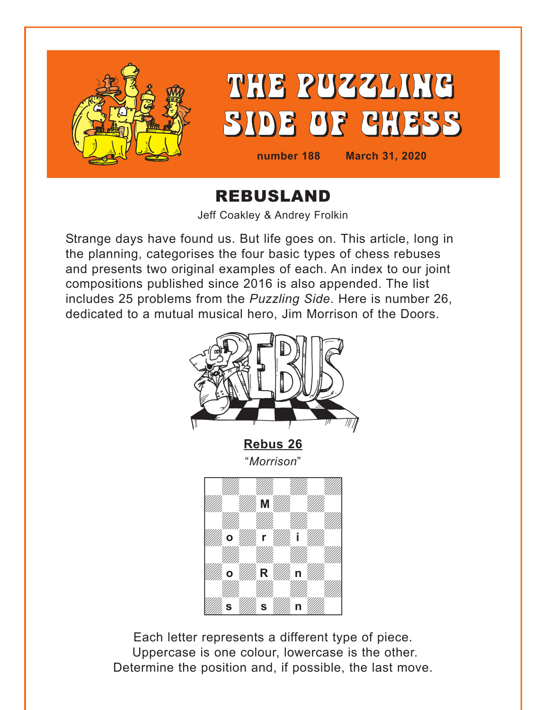<span id="page-0-0"></span>

# REBUSLAND

Jeff Coakley & Andrey Frolkin

Strange days have found us. But life goes on. This article, long in the planning, categorises the four basic types of chess rebuses and presents two original examples of each. An index to our joint compositions published since 2016 is also appended. The list includes 25 problems from the *Puzzling Side*. Here is number 26, dedicated to a mutual musical hero, Jim Morrison of the Doors.



Each letter represents a different type of piece. Uppercase is one colour, lowercase is the other. Determine the position and, if possible, the last move. week and the second control of the second control of the second control of the second control of the second control of the second control of the second control of the second control of the second control of the second cont

s *"/////,* s *"/////,* n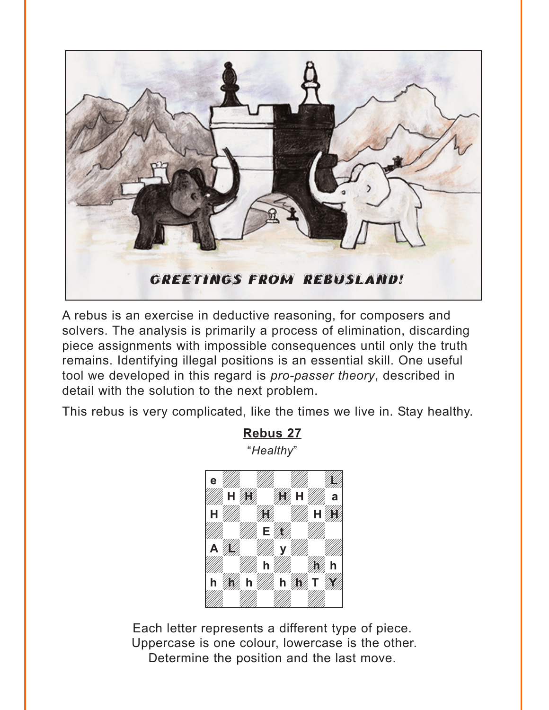<span id="page-1-0"></span>

A rebus is an exercise in deductive reasoning, for composers and solvers. The analysis is primarily a process of elimination, discarding piece assignments with impossible consequences until only the truth remains. Identifying illegal positions is an essential skill. One useful tool we developed in this regard is *pro-passer theory*, described in detail with the solution to the next problem.

This rebus is very complicated, like the times we live in. Stay healthy.

**[Rebus 27](#page-9-0)**



Each letter represents a different type of piece. Uppercase is one colour, lowercase is the other. Determine the position and the last move.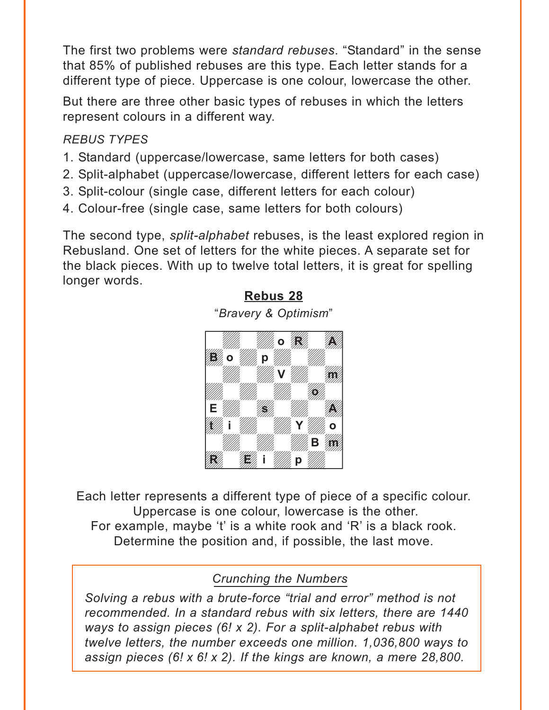<span id="page-2-0"></span>The first two problems were *standard rebuses*. "Standard" in the sense that 85% of published rebuses are this type. Each letter stands for a different type of piece. Uppercase is one colour, lowercase the other.

But there are three other basic types of rebuses in which the letters represent colours in a different way.

### *REBUS TYPES*

- 1. Standard (uppercase/lowercase, same letters for both cases)
- 2. Split-alphabet (uppercase/lowercase, different letters for each case)
- 3. Split-colour (single case, different letters for each colour)
- 4. Colour-free (single case, same letters for both colours)

The second type, *split-alphabet* rebuses, is the least explored region in Rebusland. One set of letters for the white pieces. A separate set for the black pieces. With up to twelve total letters, it is great for spelling longer words.

**[Rebus 28](#page-14-0)**



Each letter represents a different type of piece of a specific colour. Uppercase is one colour, lowercase is the other. For example, maybe 't' is a white rook and 'R' is a black rook. Determine the position and, if possible, the last move.

# *Crunching the Numbers*

*Solving a rebus with a brute-force "trial and error" method is not recommended. In a standard rebus with six letters, there are 1440 ways to assign pieces (6! x 2). For a split-alphabet rebus with twelve letters, the number exceeds one million. 1,036,800 ways to assign pieces (6! x 6! x 2). If the kings are known, a mere 28,800.*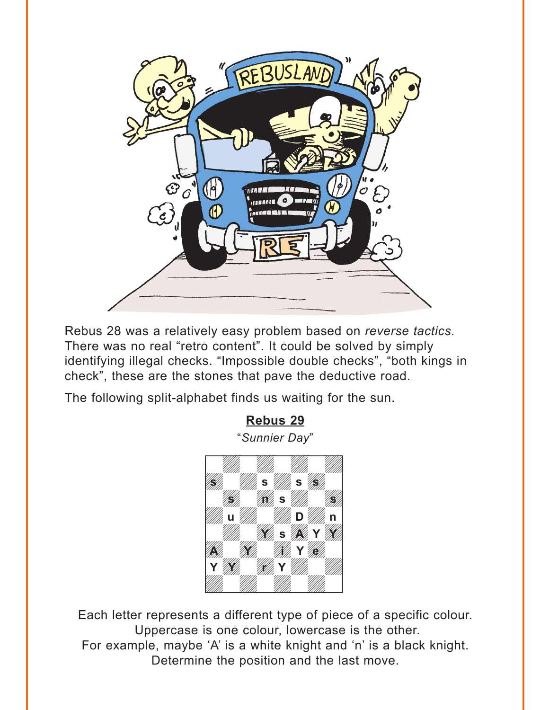<span id="page-3-0"></span>

Rebus 28 was a relatively easy problem based on *reverse tactics.* There was no real "retro content". It could be solved by simply identifying illegal checks. "Impossible double checks", "both kings in check", these are the stones that pave the deductive road.

The following split-alphabet finds us waiting for the sun.



Each letter represents a different type of piece of a specific colour. Uppercase is one colour, lowercase is the other. For example, maybe 'A' is a white knight and 'n' is a black knight. Determine the position and the last move.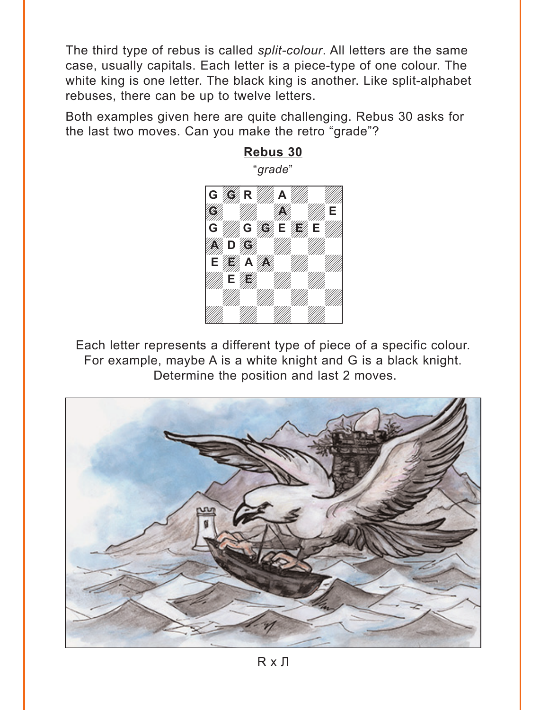<span id="page-4-0"></span>The third type of rebus is called *split-colour*. All letters are the same case, usually capitals. Each letter is a piece-type of one colour. The white king is one letter. The black king is another. Like split-alphabet rebuses, there can be up to twelve letters.

Both examples given here are quite challenging. Rebus 30 asks for the last two moves. Can you make the retro "grade"?



Each letter represents a different type of piece of a specific colour. For example, maybe A is a white knight and G is a black knight. Determine the position and last 2 moves.

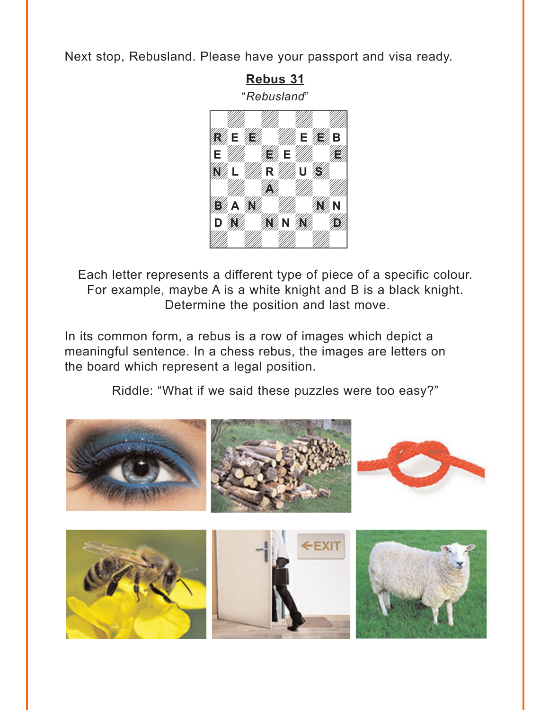<span id="page-5-0"></span>Next stop, Rebusland. Please have your passport and visa ready.



Each letter represents a different type of piece of a specific colour. For example, maybe A is a white knight and B is a black knight. Determine the position and last move.

In its common form, a rebus is a row of images which depict a meaningful sentence. In a chess rebus, the images are letters on the board which represent a legal position.

[Riddle: "What if we said these puzzles were too easy?"](#page-24-0)

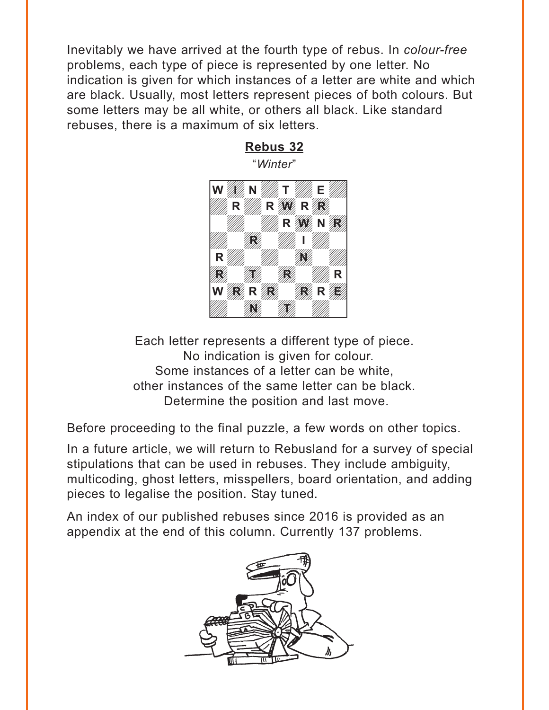<span id="page-6-0"></span>Inevitably we have arrived at the fourth type of rebus. In *colour-free* problems, each type of piece is represented by one letter. No indication is given for which instances of a letter are white and which are black. Usually, most letters represent pieces of both colours. But some letters may be all white, or others all black. Like standard rebuses, there is a maximum of six letters.



Each letter represents a different type of piece. No indication is given for colour. Some instances of a letter can be white, other instances of the same letter can be black. Determine the position and last move.

Before proceeding to the final puzzle, a few words on other topics.

In a future article, we will return to Rebusland for a survey of special stipulations that can be used in rebuses. They include ambiguity, multicoding, ghost letters, misspellers, board orientation, and adding pieces to legalise the position. Stay tuned.

An index of our published rebuses since 2016 is provided as an appendix at the end of this column. Currently 137 problems.

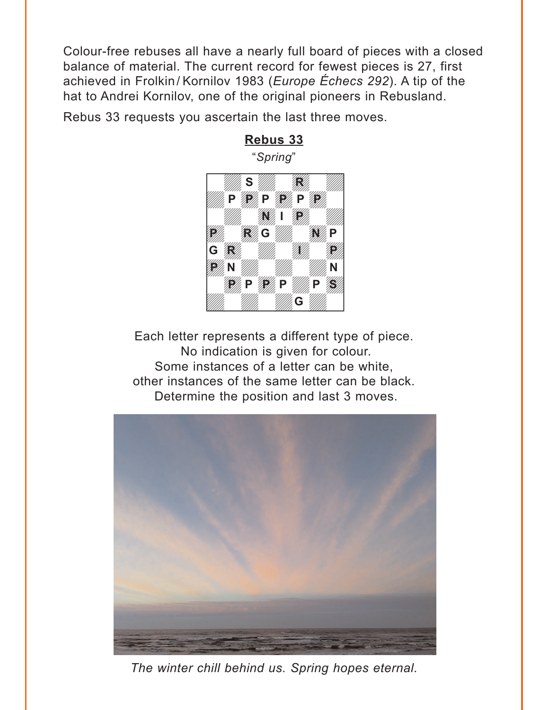<span id="page-7-0"></span>Colour-free rebuses all have a nearly full board of pieces with a closed balance of material. The current record for fewest pieces is 27, first achieved in Frolkin/ Kornilov 1983 (*Europe Échecs 292*). A tip of the hat to Andrei Kornilov, one of the original pioneers in Rebusland.

**[Rebus 33](#page-26-0)**

Rebus 33 requests you ascertain the last three moves.



Each letter represents a different type of piece. No indication is given for colour. Some instances of a letter can be white, other instances of the same letter can be black. Determine the position and last 3 moves.



*The winter chill behind us. Spring hopes eternal.*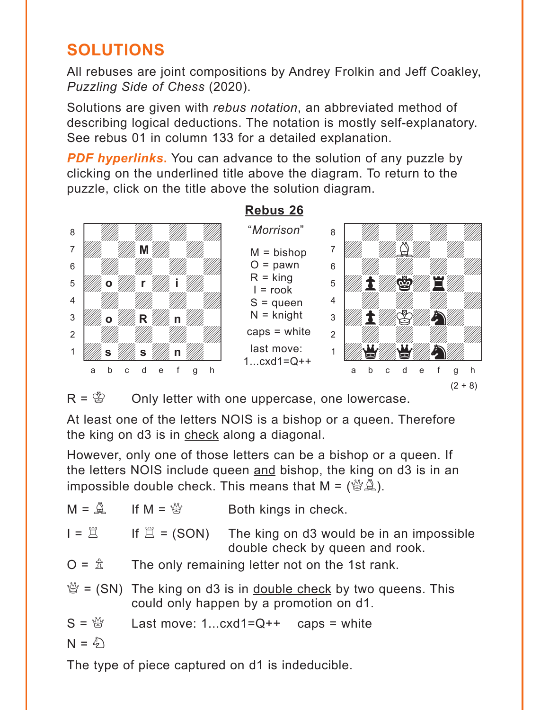# <span id="page-8-0"></span>**SOLUTIONS**

All rebuses are joint compositions by Andrey Frolkin and Jeff Coakley, *Puzzling Side of Chess* (2020).

Solutions are given with *rebus notation*, an abbreviated method of describing logical deductions. The notation is mostly self-explanatory. See rebus 01 in column 133 for a detailed explanation.

**PDF hyperlinks.** You can advance to the solution of any puzzle by clicking on the underlined title above the diagram. To return to the puzzle, click on the title above the solution diagram.



 $R = \mathcal{B}$  Only letter with one uppercase, one lowercase.

At least one of the letters NOIS is a bishop or a queen. Therefore the king on d3 is in check along a diagonal.

However, only one of those letters can be a bishop or a queen. If the letters NOIS include queen and bishop, the king on d3 is in an impossible double check. This means that  $M = \begin{pmatrix} M & 0 \\ 0 & M \end{pmatrix}$ .

| $M = \mathbb{Q}$ If $M = \mathbb{Z}$ | Both kings in check.                                                                                                         |
|--------------------------------------|------------------------------------------------------------------------------------------------------------------------------|
| $I = \Xi$                            | If $\mathbb{Z}$ = (SON) The king on d3 would be in an impossible<br>double check by queen and rook.                          |
| $O = \hat{\mathbb{Z}}$               | The only remaining letter not on the 1st rank.                                                                               |
|                                      | $\mathcal{L} =$ (SN) The king on d3 is in <u>double check</u> by two queens. This<br>could only happen by a promotion on d1. |
| $S = \mathcal{G}$                    | Last move: $1cxd1=Q++$ caps = white                                                                                          |
| $N = \hat{\varphi}$                  |                                                                                                                              |

The type of piece captured on d1 is indeducible.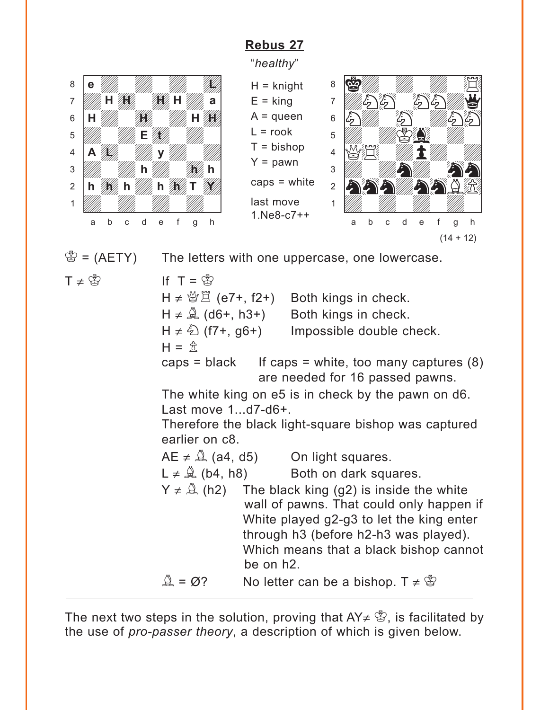# **[Rebus 27](#page-1-0)**

"*healthy*"

<span id="page-9-0"></span>



 $\mathcal{B} = (A E T Y)$  The letters with one uppercase, one lowercase.

 $T \neq \overset{\circ}{\mathbb{B}}$  If  $T = \overset{\circ}{\mathbb{B}}$ 

H  $\neq$   $\mathcal{B}(\mathbb{E}(\mathbb{E}7+, \mathbb{E}2))$  Both kings in check.  $H \neq \hat{A}$  (d6+, h3+) Both kings in check.  $H \neq \hat{\varphi}$  (f7+, g6+) Impossible double check.  $H = \mathbb{R}$ caps = black If caps = white, too many captures  $(8)$ are needed for 16 passed pawns. The white king on e5 is in check by the pawn on d6. Last move 1...d7-d6+. Therefore the black light-square bishop was captured earlier on c8.  $AE \neq \hat{A}$  (a4, d5) On light squares.  $L \neq \mathbb{Q}$  (b4, h8) Both on dark squares.  $Y \neq \hat{A}$  (h2) The black king (g2) is inside the white wall of pawns. That could only happen if White played g2-g3 to let the king enter through h3 (before h2-h3 was played). Which means that a black bishop cannot be on h2.

 $\mathbb{A} = \emptyset$ ? No letter can be a bishop. T  $\neq \mathbb{S}$ 

The next two steps in the solution, proving that  $AY \notin \mathcal{B}$ , is facilitated by the use of *pro-passer theory*, a description of which is given below.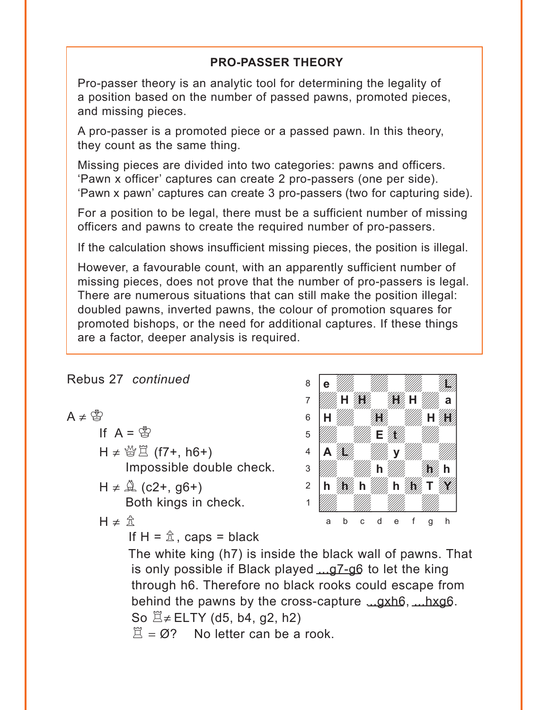## **PRO-PASSER THEORY**

Pro-passer theory is an analytic tool for determining the legality of a position based on the number of passed pawns, promoted pieces, and missing pieces.

A pro-passer is a promoted piece or a passed pawn. In this theory, they count as the same thing.

Missing pieces are divided into two categories: pawns and officers. 'Pawn x officer' captures can create 2 pro-passers (one per side). 'Pawn x pawn' captures can create 3 pro-passers (two for capturing side).

For a position to be legal, there must be a sufficient number of missing officers and pawns to create the required number of pro-passers.

If the calculation shows insufficient missing pieces, the position is illegal.

However, a favourable count, with an apparently sufficient number of missing pieces, does not prove that the number of pro-passers is legal. There are numerous situations that can still make the position illegal: doubled pawns, inverted pawns, the colour of promotion squares for promoted bishops, or the need for additional captures. If these things are a factor, deeper analysis is required.

### Rebus 27 *continued*

$$
A\neq\mathring{\mathbb{S}}
$$

If 
$$
A = \mathcal{B}
$$

H ≠ 營 $\Xi$  (f7+, h6+) Impossible double check.

- $H \neq \mathbb{Q}$  (c2+, g6+) Both kings in check.
- $H \neq \hat{\pi}$

If  $H = \hat{\mathbb{Z}}$ , caps = black



The white king (h7) is inside the black wall of pawns. That is only possible if Black played ...g7-g6 to let the king through h6. Therefore no black rooks could escape from behind the pawns by the cross-capture ...gxh6, ...hxg6. So  $\mathbb{Z}$ ≠ ELTY (d5, b4, g2, h2)  $\ddot{\Pi} = \emptyset$ ? No letter can be a rook.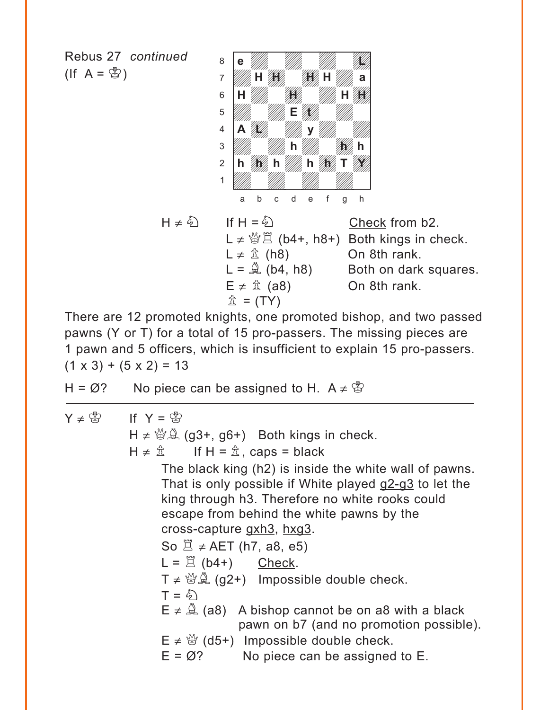Rebus 27 *continued*  $($ If A =  $\circledS$ )



| $H \neq \frac{\mathcal{E}}{2}$ | If H = $\mathcal{L}_2$         | Check from b2.                                               |
|--------------------------------|--------------------------------|--------------------------------------------------------------|
|                                |                                | $L \neq \frac{M}{Q} \square$ (b4+, h8+) Both kings in check. |
|                                | $L \neq \hat{\mathbb{Z}}$ (h8) | On 8th rank.                                                 |
|                                | $L = \mathbb{Q}$ (b4, h8)      | Both on dark squares.                                        |
|                                | $E \neq \hat{\mathbb{Z}}$ (a8) | On 8th rank.                                                 |
|                                | $\hat{\mathbb{Z}}$ = (TY)      |                                                              |

There are 12 promoted knights, one promoted bishop, and two passed pawns (Y or T) for a total of 15 pro-passers. The missing pieces are 1 pawn and 5 officers, which is insufficient to explain 15 pro-passers.  $(1 \times 3) + (5 \times 2) = 13$ 

- H =  $\varnothing$ ? No piece can be assigned to H. A  $\neq \mathcal{B}$
- $Y \neq \overset{\circ}{\mathbb{B}}$  If  $Y = \overset{\circ}{\mathbb{B}}$  $H \neq \frac{M(s)}{s}$  (g3+, g6+) Both kings in check.  $H \neq \hat{\mathbb{Z}}$  If  $H = \hat{\mathbb{Z}}$ , caps = black The black king (h2) is inside the white wall of pawns. That is only possible if White played g2-g3 to let the king through h3. Therefore no white rooks could escape from behind the white pawns by the cross-capture gxh3, hxg3. So  $\mathbb{Z} \neq AET$  (h7, a8, e5)  $L = \mathbb{Z}$  (b4+) Check.  $T \neq \mathcal{B}(\mathcal{A})$  (g2+) Impossible double check.  $T = \hat{\varphi}$  $E \neq \hat{A}$  (a8) A bishop cannot be on a8 with a black pawn on b7 (and no promotion possible).  $E \neq \frac{M}{Q}$  (d5+) Impossible double check.  $E = \emptyset$ ? No piece can be assigned to E.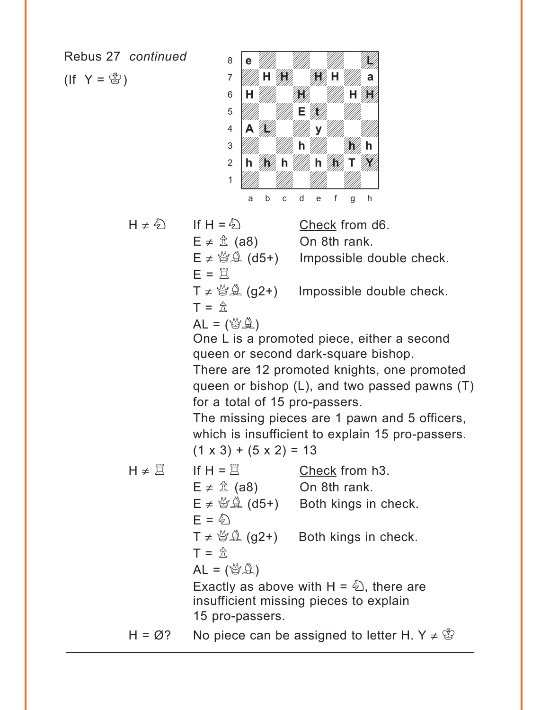Rebus 27 *continued*

 $($ If  $Y = \mathcal{B})$ 



 $H \neq \hat{\triangle}$  If  $H = \hat{\triangle}$  Check from d6.  $E \neq \hat{\mathbb{Z}}$  (a8) On 8th rank.

 $E \neq \mathcal{B}(\mathcal{A})$  (d5+) Impossible double check.

 $E = \tilde{Z}$ 

 $T \neq \mathcal{B}(\mathcal{A})$  (g2+) Impossible double check.

$$
\hat{\mathbb{L}} = \mathbb{L}
$$

 $AL = (\mathbb{S} \mathbb{A})$ 

One L is a promoted piece, either a second queen or second dark-square bishop.

There are 12 promoted knights, one promoted queen or bishop (L), and two passed pawns (T) for a total of 15 pro-passers.

The missing pieces are 1 pawn and 5 officers, which is insufficient to explain 15 pro-passers.  $(1 \times 3) + (5 \times 2) = 13$ 

- $H \neq \Xi$  If  $H = \Xi$  Check from h3.  $E \neq \hat{\mathbb{Z}}$  (a8) On 8th rank.  $E \neq \mathcal{B}(\Delta +)$  Both kings in check.  $F = \hat{\varphi}$  $T \neq \mathcal{B}(\mathcal{A})$  (g2+) Both kings in check.  $T = \hat{\pi}$  $AL = (\mathbb{S} \mathbb{A})$ Exactly as above with  $H = \hat{\omega}$ , there are insufficient missing pieces to explain 15 pro-passers.
- H =  $\varnothing$ ? No piece can be assigned to letter H. Y  $\neq \mathscr{B}$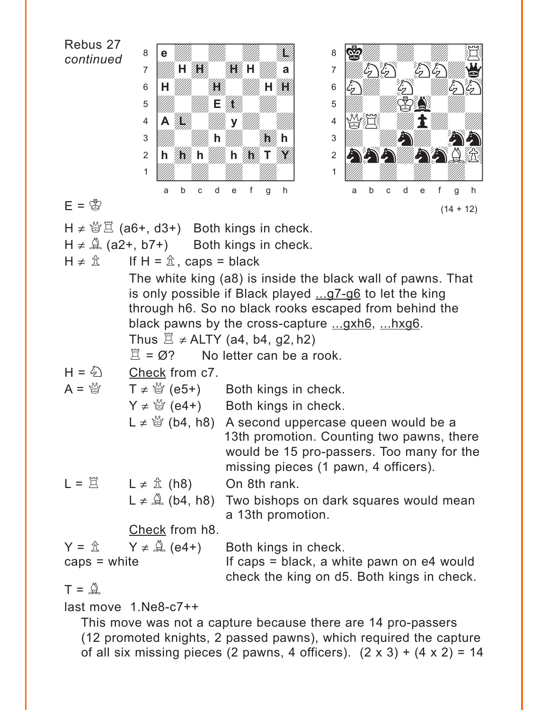Rebus 27 *continued*  $E = \bigcirc \nabla$  $H \neq \mathcal{B} \nsubseteq (a6+, d3+)$  Both kings in check.  $H \neq \hat{A}$  (a2+, b7+) Both kings in check.  $H \neq \hat{\mathbb{Z}}$  If  $H = \hat{\mathbb{Z}}$ , caps = black The white king (a8) is inside the black wall of pawns. That is only possible if Black played ...g7-g6 to let the king through h6. So no black rooks escaped from behind the black pawns by the cross-capture ...gxh6, ...hxg6. Thus  $\ddot{\Xi} \neq$  ALTY (a4, b4, g2, h2)  $\mathbb{E} = \emptyset$ ? No letter can be a rook.  $H = \mathcal{L}$  Check from c7.  $A = \frac{M}{Q}$   $T \neq \frac{M}{Q}$  (e5+) Both kings in check.  $Y \neq \mathcal{Q}$  (e4+) Both kings in check. L  $\neq$   $\stackrel{M}{\cong}$  (b4, h8) A second uppercase queen would be a 13th promotion. Counting two pawns, there would be 15 pro-passers. Too many for the missing pieces (1 pawn, 4 officers).  $L = \mathbb{Z}$   $L \neq \mathbb{Z}$  (h8) On 8th rank.  $L \neq \hat{A}$  (b4, h8) Two bishops on dark squares would mean a 13th promotion. Check from h8.  $Y = \hat{\mathbb{A}}$   $Y \neq \hat{\mathbb{A}}$  (e4+) Both kings in check.  $caps = white$  If caps = black, a white pawn on e4 would check the king on d5. Both kings in check.  $T = \hat{\mathbb{Q}}$ last move 1.Ne8-c7++ with the set of the set of the set of the set of the set of the set of the set of the set of the set of the set of the set of the set of the set of the set of the set of the set of the set of the set of the set of the set 8 **e** William William William Company 7 *Willia* H **Adv**in ßwdwdwdwd]  $\mathbf{E}$   $\mathbf{W}$   $\mathbf{H}$   $\mathbf{H}$   $\mathbf{H}$   $\mathbf{H}$   $\mathbf{H}$   $\mathbf{H}$   $\mathbf{H}$   $\mathbf{H}$   $\mathbf{H}$   $\mathbf{H}$   $\mathbf{H}$   $\mathbf{H}$   $\mathbf{H}$   $\mathbf{H}$   $\mathbf{H}$   $\mathbf{H}$   $\mathbf{H}$   $\mathbf{H}$   $\mathbf{H}$   $\mathbf{H}$   $\mathbf{H}$   $\mathbf{H}$   $\mathbf{$ <sup>4</sup> **A**  $\frac{1}{2}$  **W** y  $\frac{1}{2}$ Üdwdwdwdw] **h h h** 2 **h 1 h** h **//** 1 *Údwarf William William William William William William William William William William William William William W* a b c d e f g h **e** William William Milliam Milliam Milliam Milliam Milliam Milliam Milliam Milliam Milliam Milliam Milliam Mil **HH** H *WA 1990 WA* H 1990 **E** to the top of the top of the top of the top of the top of the top of the top of the top of the top of the top of the top of the top of the top of the top of the top of the top of the top of the top of the top of the to with the set of the set of the set of the set of the set of the set of the set of the set of the set of the set of the set of the set of the set of the set of the set of the set of the set of the set of the set of the set  $\sim$  67% (Magnetic 2) adh an Chuir an Chuir  $\begin{picture}(60,6) \put(0,0){\line(1,0){15}} \put(1,0){\line(1,0){15}} \put(1,0){\line(1,0){15}} \put(1,0){\line(1,0){15}} \put(1,0){\line(1,0){15}} \put(1,0){\line(1,0){15}} \put(1,0){\line(1,0){15}} \put(1,0){\line(1,0){15}} \put(1,0){\line(1,0){15}} \put(1,0){\line(1,0){15}} \put(1,0){\line(1,0){15}} \put(1,0){\line(1,0){15}} \put(1,0$  $\overline{\mathcal{L}}$ ÝQ\$wdpdwd]  $\frac{1}{2}$  $2$  by  $\mathcal{E}(\mathcal{E})$ 1 *Údwarf William William William William William William William William William William William William William W* a b c d e f g h  $(14 + 12)$ 

This move was not a capture because there are 14 pro-passers (12 promoted knights, 2 passed pawns), which required the capture of all six missing pieces (2 pawns, 4 officers).  $(2 \times 3) + (4 \times 2) = 14$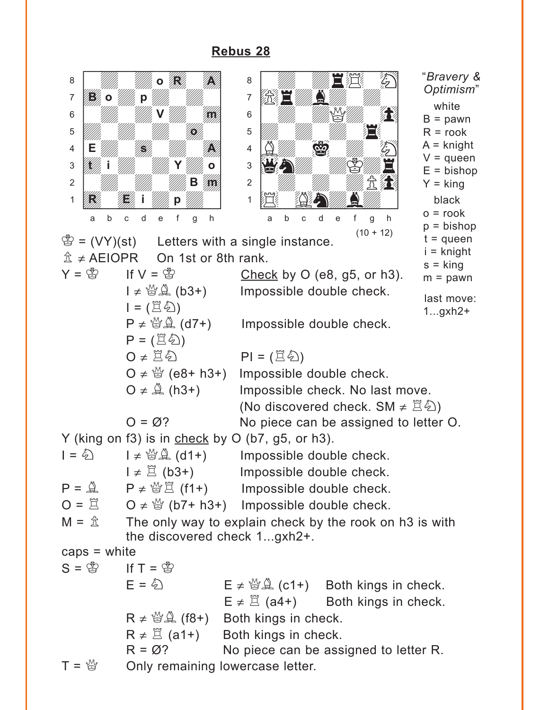<span id="page-14-0"></span>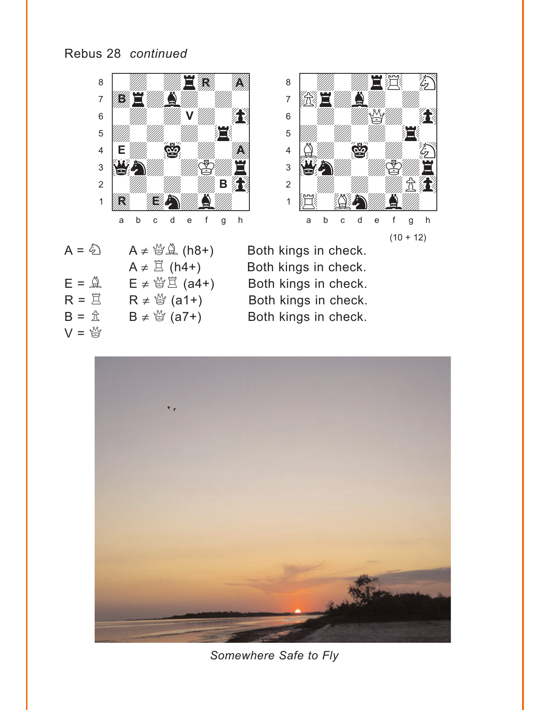





 $A = \bigotimes A \neq \bigotimes A$  (h8+) Both kings in check.  $E = \hat{\mathbb{Q}}$   $E \neq \hat{\mathbb{Q}} \hat{\mathbb{Z}}$  (a4+) Both kings in check.<br>  $R = \hat{\mathbb{Z}}$   $R \neq \hat{\mathbb{Q}}$  (a1+) Both kings in check.  $R = \overset{\sim}{\Box} \qquad R \neq \overset{\mathcal{M}}{\boxtimes} (a1+)$  $B = \hat{\mathbb{Z}}$   $B \neq \hat{\mathbb{Y}}$  (a7+) Both kings in check.  $V = \frac{M}{N}$ 

A ≠  $\Xi$  (h4+) Both kings in check.<br>E ≠  $\mathcal{L} \Xi$  (a4+) Both kings in check.



*Somewhere Safe to Fly*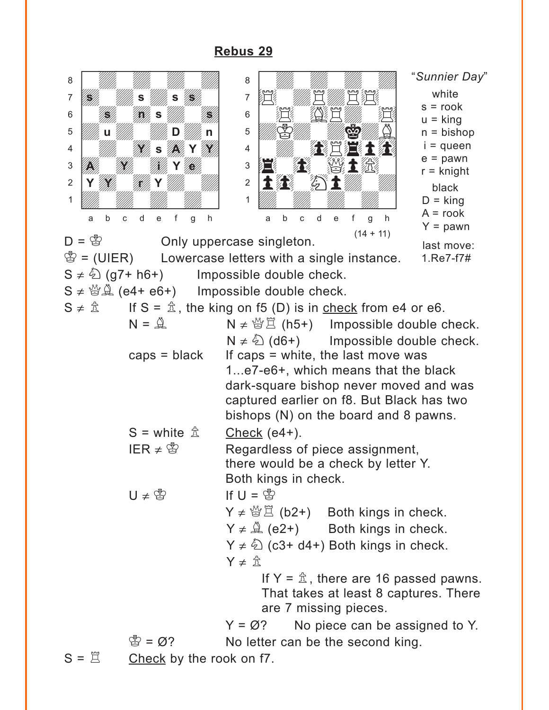<span id="page-16-0"></span>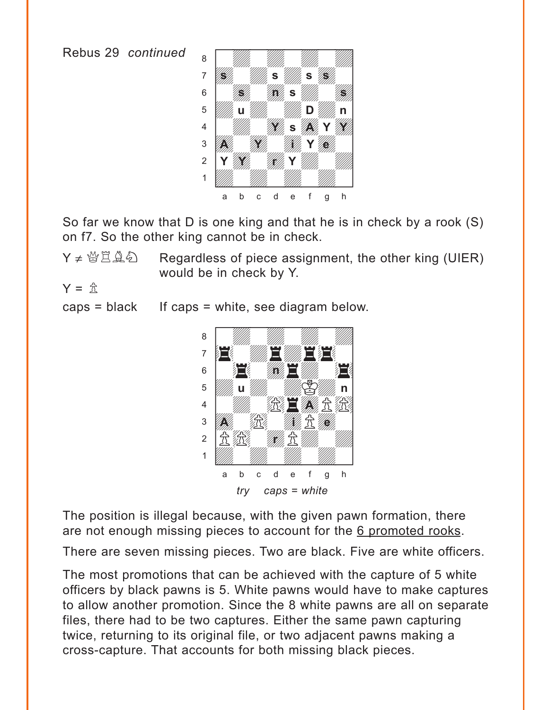Rebus 29 *continued*



So far we know that D is one king and that he is in check by a rook (S) on f7. So the other king cannot be in check.

 $Y \neq \mathcal{B}\times\mathcal{B}$  Regardless of piece assignment, the other king (UIER) would be in check by Y.

$$
Y = \mathcal{L}
$$

 $caps = black$  If caps = white, see diagram below.



The position is illegal because, with the given pawn formation, there are not enough missing pieces to account for the 6 promoted rooks.

There are seven missing pieces. Two are black. Five are white officers.

The most promotions that can be achieved with the capture of 5 white officers by black pawns is 5. White pawns would have to make captures to allow another promotion. Since the 8 white pawns are all on separate files, there had to be two captures. Either the same pawn capturing twice, returning to its original file, or two adjacent pawns making a cross-capture. That accounts for both missing black pieces.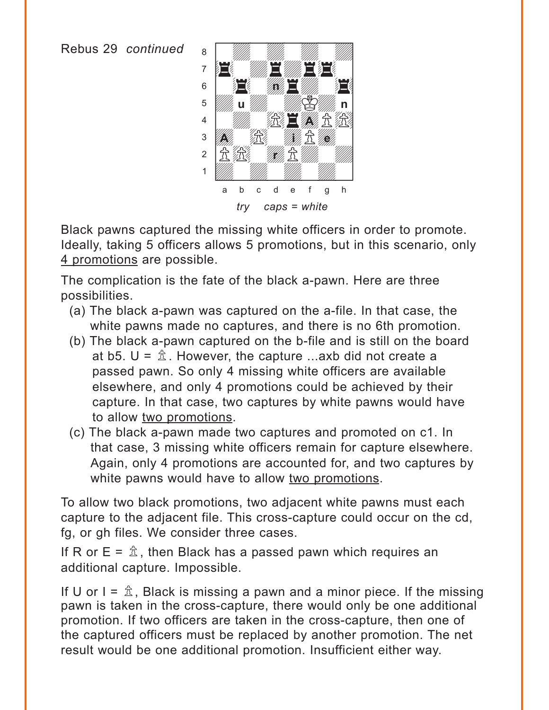Rebus 29 *continued*



Black pawns captured the missing white officers in order to promote. Ideally, taking 5 officers allows 5 promotions, but in this scenario, only 4 promotions are possible.

The complication is the fate of the black a-pawn. Here are three possibilities.

- (a) The black a-pawn was captured on the a-file. In that case, the white pawns made no captures, and there is no 6th promotion.
- (b) The black a-pawn captured on the b-file and is still on the board at b5.  $U = \hat{\mathbb{Z}}$ . However, the capture ...axb did not create a passed pawn. So only 4 missing white officers are available elsewhere, and only 4 promotions could be achieved by their capture. In that case, two captures by white pawns would have to allow two promotions.
- (c) The black a-pawn made two captures and promoted on c1. In that case, 3 missing white officers remain for capture elsewhere. Again, only 4 promotions are accounted for, and two captures by white pawns would have to allow two promotions.

To allow two black promotions, two adjacent white pawns must each capture to the adjacent file. This cross-capture could occur on the cd, fg, or gh files. We consider three cases.

If R or  $E = \hat{\mathbb{Z}}$ , then Black has a passed pawn which requires an additional capture. Impossible.

If U or  $I = \hat{\mathbb{Z}}$ , Black is missing a pawn and a minor piece. If the missing pawn is taken in the cross-capture, there would only be one additional promotion. If two officers are taken in the cross-capture, then one of the captured officers must be replaced by another promotion. The net result would be one additional promotion. Insufficient either way.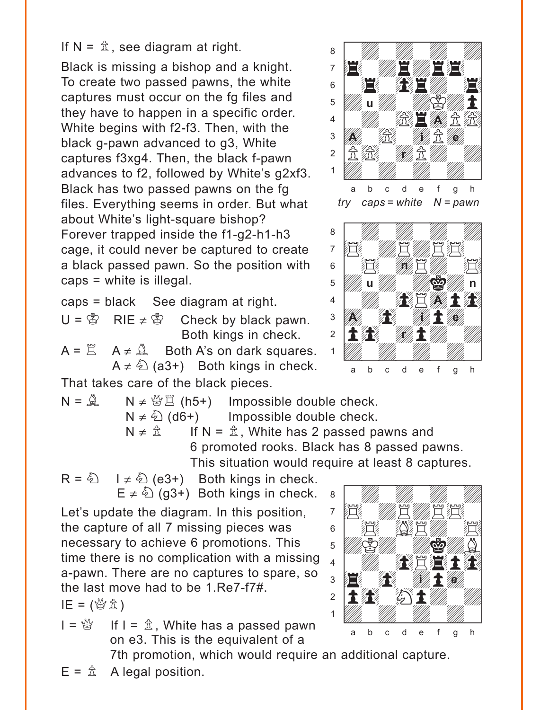If  $N = \hat{\mathbb{Z}}$ , see diagram at right.

Black is missing a bishop and a knight. To create two passed pawns, the white captures must occur on the fg files and they have to happen in a specific order. White begins with f2-f3. Then, with the black g-pawn advanced to g3, White captures f3xg4. Then, the black f-pawn advances to f2, followed by White's g2xf3. Black has two passed pawns on the fg files. Everything seems in order. But what about White's light-square bishop? Forever trapped inside the f1-g2-h1-h3 cage, it could never be captured to create a black passed pawn. So the position with caps = white is illegal.

caps = black See diagram at right.

 $U = \bigcirc$  RIE  $\neq \bigcirc$  Check by black pawn. Both kings in check.

 $A = \mathbb{Z}$   $A \neq \mathbb{Q}$  Both A's on dark squares.  $A \neq \hat{D}$  (a3+) Both kings in check. That takes care of the black pieces.



with the set of the set of the set of the set of the set of the set of the set of the set of the set of the set of the set of the set of the set of the set of the set of the set of the set of the set of the set of the set

 $N = \mathbb{R}$   $N \neq \mathbb{B}(\mathbb{R}^+)$  Impossible double check.  $N \neq \hat{\mathbb{Q}}$  (d6+) Impossible double check.  $N \neq \hat{\mathbb{Z}}$  If  $N = \hat{\mathbb{Z}}$ , White has 2 passed pawns and 6 promoted rooks. Black has 8 passed pawns. This situation would require at least 8 captures.

 $R = \hat{Q}$   $I \neq \hat{Q}$  (e3+) Both kings in check.  $E \neq \hat{\mathbb{Q}}$  (g3+) Both kings in check.

Let's update the diagram. In this position, the capture of all 7 missing pieces was necessary to achieve 6 promotions. This time there is no complication with a missing a-pawn. There are no captures to spare, so the last move had to be 1.Re7-f7#.

 $IE = (\mathcal{Y} \hat{\mathbb{Z}})$ 

 $I = \frac{M}{Q}$  If  $I = \hat{\mathbb{Z}}$ , White has a passed pawn on e3. This is the equivalent of a

7th promotion, which would require an additional capture.

where  $\frac{w}{2}$  is the set of  $\frac{w}{2}$ a ya *mai wa* wakazi wa 1972, wa <sup>7</sup> He *w* R and the  $\bullet$   $\mathbb{E}$   $\mathbb{E}$   $\mathbb{E}$   $\mathbb{E}$  $\mathcal{L}$  $\mathcal{L}$   $\mathcal{L}$   $\mathcal{L}$  $\mathbf{E}$   $\mathbf{L}$   $\mathbf{L}$  $2$  11  $\frac{1}{2}$  51  $\frac{1}{2}$ 1 *Údwarf William William William William William William William William William William William William William W* a b c d e f g h **i e** 

 $E = \hat{\mathbb{A}}$  A legal position.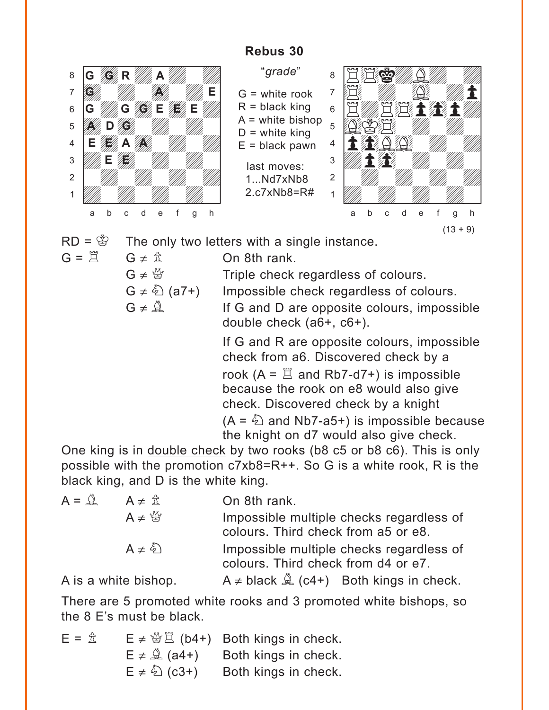# **[Rebus 30](#page-4-0)**

<span id="page-20-0"></span>

"*grade*"  $G =$  white rook  $R =$  black king  $A =$  white bishop  $D =$  white king  $E =$  black pawn last moves: 1. Nd7xNb8 2.c7xNb8=R#



 $RD = \frac{3}{2}$  The only two letters with a single instance.

 $G = \vec{R}$   $G \neq \hat{R}$  On 8th rank.

 $G \neq \mathcal{Q}$  Triple check regardless of colours.

 $G \neq \textcircled{2}$  (a7+) Impossible check regardless of colours.  $G \neq \mathbb{Q}$  If G and D are opposite colours, impossible

> double check (a6+, c6+). If G and R are opposite colours, impossible check from a6. Discovered check by a rook  $(A = \mathbb{Z}$  and Rb7-d7+) is impossible because the rook on e8 would also give check. Discovered check by a knight  $(A = \&$  and Nb7-a5+) is impossible because

the knight on d7 would also give check. One king is in double check by two rooks (b8 c5 or b8 c6). This is only possible with the promotion c7xb8=R++. So G is a white rook, R is the

black king, and D is the white king.  $A = \hat{A}$   $A \neq \hat{B}$  On 8th rank.  $A \neq \frac{M}{Q}$  Impossible multiple checks regardless of colours. Third check from a5 or e8.  $A \neq \hat{\bigcirc}$  Impossible multiple checks regardless of

colours. Third check from d4 or e7.

A is a white bishop.  $A \neq$  black  $\stackrel{a}{\rightarrow}$  (c4+) Both kings in check.

There are 5 promoted white rooks and 3 promoted white bishops, so the 8 E's must be black.

 $E = \hat{\mathbb{E}}$   $E \neq \hat{\mathbb{E}}$  (b4+) Both kings in check.  $E \neq \hat{A}$  (a4+) Both kings in check.  $E \neq \hat{\mathbb{Q}}$  (c3+) Both kings in check.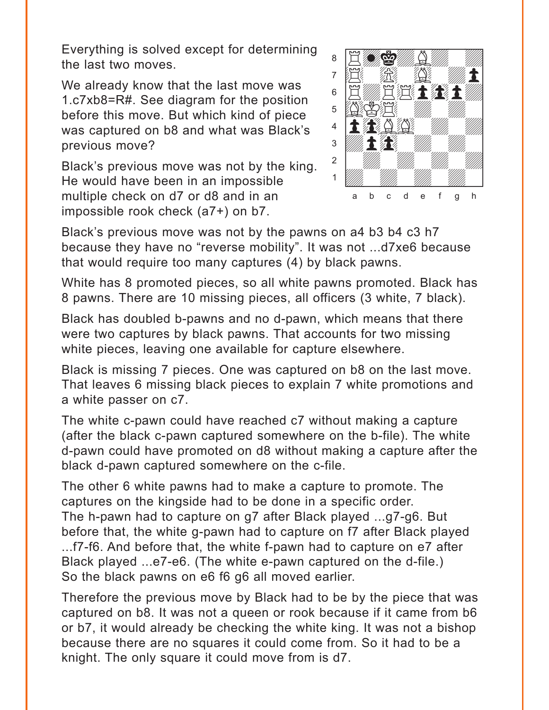Everything is solved except for determining the last two moves.

We already know that the last move was 1.c7xb8=R#. See diagram for the position before this move. But which kind of piece was captured on b8 and what was Black's previous move?

Black's previous move was not by the king. He would have been in an impossible multiple check on d7 or d8 and in an impossible rook check (a7+) on b7.



Black's previous move was not by the pawns on a4 b3 b4 c3 h7 because they have no "reverse mobility". It was not ...d7xe6 because that would require too many captures (4) by black pawns.

White has 8 promoted pieces, so all white pawns promoted. Black has 8 pawns. There are 10 missing pieces, all officers (3 white, 7 black).

Black has doubled b-pawns and no d-pawn, which means that there were two captures by black pawns. That accounts for two missing white pieces, leaving one available for capture elsewhere.

Black is missing 7 pieces. One was captured on b8 on the last move. That leaves 6 missing black pieces to explain 7 white promotions and a white passer on c7.

The white c-pawn could have reached c7 without making a capture (after the black c-pawn captured somewhere on the b-file). The white d-pawn could have promoted on d8 without making a capture after the black d-pawn captured somewhere on the c-file.

The other 6 white pawns had to make a capture to promote. The captures on the kingside had to be done in a specific order. The h-pawn had to capture on g7 after Black played ...g7-g6. But before that, the white g-pawn had to capture on f7 after Black played ...f7-f6. And before that, the white f-pawn had to capture on e7 after Black played ...e7-e6. (The white e-pawn captured on the d-file.) So the black pawns on e6 f6 g6 all moved earlier.

Therefore the previous move by Black had to be by the piece that was captured on b8. It was not a queen or rook because if it came from b6 or b7, it would already be checking the white king. It was not a bishop because there are no squares it could come from. So it had to be a knight. The only square it could move from is d7.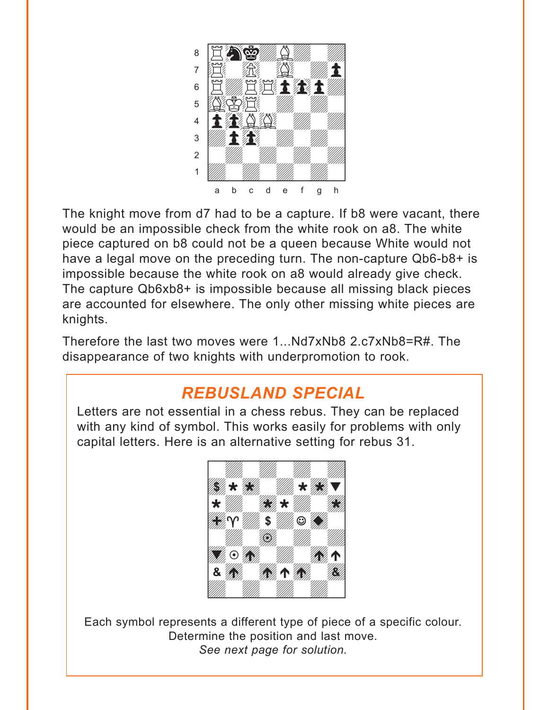<span id="page-22-0"></span>

The knight move from d7 had to be a capture. If b8 were vacant, there would be an impossible check from the white rook on a8. The white piece captured on b8 could not be a queen because White would not have a legal move on the preceding turn. The non-capture Qb6-b8+ is impossible because the white rook on a8 would already give check. The capture Qb6xb8+ is impossible because all missing black pieces are accounted for elsewhere. The only other missing white pieces are knights.

Therefore the last two moves were 1...Nd7xNb8 2.c7xNb8=R#. The disappearance of two knights with underpromotion to rook.

# *REBUSLAND SPECIAL*

Letters are not essential in a chess rebus. They can be replaced with any kind of symbol. This works easily for problems with only capital letters. Here is an alternative setting for rebus 31.



Each symbol represents a different type of piece of a specific colour. Determine the position and last move. *See next page for solution.*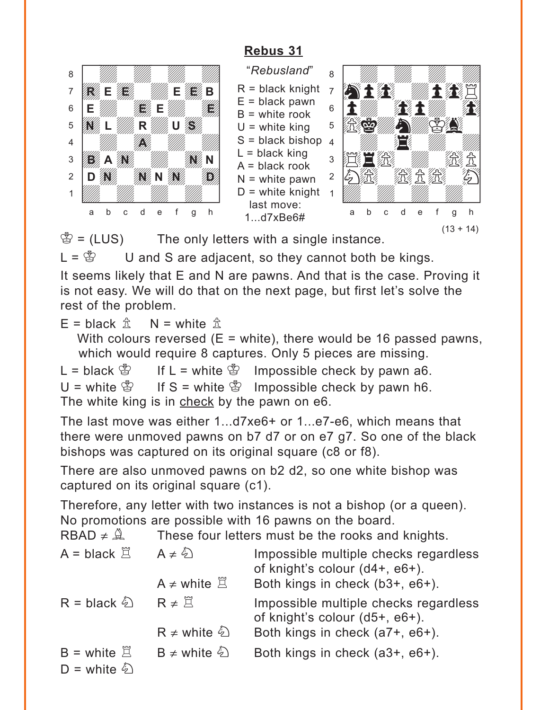# **[Rebus 31](#page-5-0)**



 $\mathcal{B} = (LUS)$  The only letters with a single instance.

 $L = \mathcal{L}$  U and S are adjacent, so they cannot both be kings.

It seems likely that E and N are pawns. And that is the case. Proving it is not easy. We will do that on the next page, but first let's solve the rest of the problem.

 $E =$  black  $\hat{\mathbb{Z}}$  N = white  $\hat{\mathbb{Z}}$ 

With colours reversed  $(E = white)$ , there would be 16 passed pawns, which would require 8 captures. Only 5 pieces are missing.

L = black  $\mathbb{S}$  If L = white  $\mathbb{S}$  Impossible check by pawn a6. U = white  $\mathscr{L}$  If S = white  $\mathscr{L}$  Impossible check by pawn h6. The white king is in check by the pawn on e6.

The last move was either 1...d7xe6+ or 1...e7-e6, which means that there were unmoved pawns on b7 d7 or on e7 g7. So one of the black bishops was captured on its original square (c8 or f8).

There are also unmoved pawns on b2 d2, so one white bishop was captured on its original square (c1).

Therefore, any letter with two instances is not a bishop (or a queen). No promotions are possible with 16 pawns on the board.

RBAD  $\neq \hat{A}$  These four letters must be the rooks and knights.

| $A = black \n\mathbb{E}$                              | $A \neq \hat{\varphi}$<br>$A \neq$ white $\Xi$ | Impossible multiple checks regardless<br>of knight's colour (d4+, e6+).<br>Both kings in check (b3+, e6+). |
|-------------------------------------------------------|------------------------------------------------|------------------------------------------------------------------------------------------------------------|
| $R = black \&$                                        | $R \neq \overline{\beta}$                      | Impossible multiple checks regardless<br>of knight's colour (d5+, e6+).                                    |
|                                                       | $R \neq$ white $\hat{\varphi}$                 | Both kings in check (a7+, e6+).                                                                            |
| $B =$ white $\Xi$<br>$D =$ white $\hat{\mathfrak{D}}$ | B $\neq$ white $\&$                            | Both kings in check (a3+, e6+).                                                                            |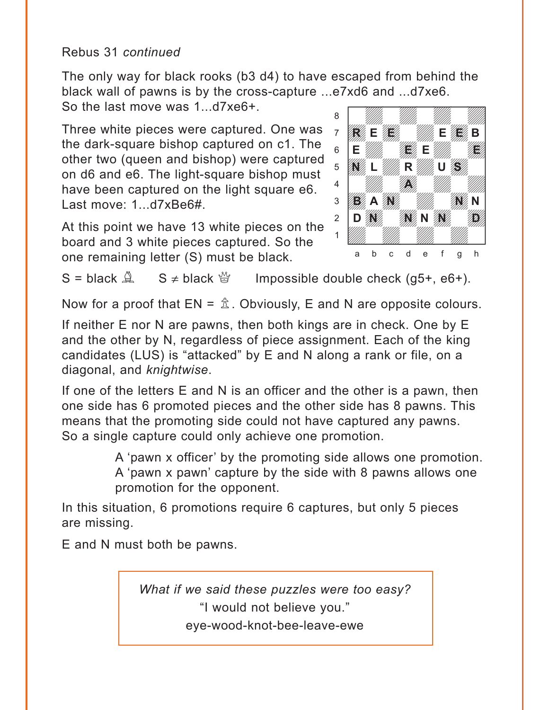## <span id="page-24-0"></span>Rebus 31 *continued*

The only way for black rooks (b3 d4) to have escaped from behind the black wall of pawns is by the cross-capture ...e7xd6 and ...d7xe6.<br>So the last move was 1, d7xe6+ So the last move was 1...d7xe6+.

Three white pieces were captured. One was the dark-square bishop captured on c1. The other two (queen and bishop) were captured on d6 and e6. The light-square bishop must have been captured on the light square e6. Last move: 1...d7xBe6#.

At this point we have 13 white pieces on the board and 3 white pieces captured. So the one remaining letter (S) must be black.



 $S = black \stackrel{\triangle}{=}$   $S \neq black \stackrel{\triangle}{=}$  Impossible double check (g5+, e6+).

Now for a proof that  $EN = \hat{\mathbb{A}}$ . Obviously, E and N are opposite colours.

If neither E nor N are pawns, then both kings are in check. One by E and the other by N, regardless of piece assignment. Each of the king candidates (LUS) is "attacked" by E and N along a rank or file, on a diagonal, and *knightwise*.

If one of the letters E and N is an officer and the other is a pawn, then one side has 6 promoted pieces and the other side has 8 pawns. This means that the promoting side could not have captured any pawns. So a single capture could only achieve one promotion.

> A 'pawn x officer' by the promoting side allows one promotion. A 'pawn x pawn' capture by the side with 8 pawns allows one promotion for the opponent.

In this situation, 6 promotions require 6 captures, but only 5 pieces are missing.

E and N must both be pawns.

*[What if we said these puzzles were too easy?](#page-5-0)* "I would not believe you." eye-wood-knot-bee-leave-ewe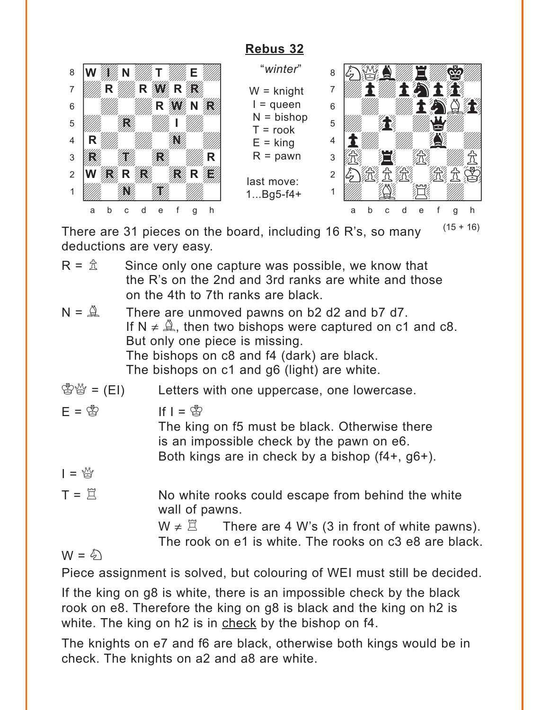# **[Rebus 32](#page-6-0)**

<span id="page-25-0"></span>

"*winter*" W = knight  $I =$ queen  $N = b$ ishop  $T =$ rook  $E =$ king  $R =$  pawn

last move: 1...Bg5-f4+



There are 31 pieces on the board, including 16 R's, so many deductions are very easy.

- $R = \hat{\mathbb{Z}}$  Since only one capture was possible, we know that the R's on the 2nd and 3rd ranks are white and those on the 4th to 7th ranks are black.
- $N = \mathbb{R}$  There are unmoved pawns on b2 d2 and b7 d7. If  $N \neq \mathbb{Q}$ , then two bishops were captured on c1 and c8. But only one piece is missing. The bishops on c8 and f4 (dark) are black. The bishops on c1 and g6 (light) are white.
- <sup>U</sup>New = (EI) Letters with one uppercase, one lowercase.
- 

 $F = \overset{\circ}{\otimes}$  If  $I = \overset{\circ}{\otimes}$ 

The king on f5 must be black. Otherwise there is an impossible check by the pawn on e6. Both kings are in check by a bishop (f4+, g6+).

- $I = \mathbb{Q}$
- $T = \mathbb{Z}$  No white rooks could escape from behind the white wall of pawns.

 $W \neq \mathbb{Z}$  There are 4 W's (3 in front of white pawns). The rook on e1 is white. The rooks on c3 e8 are black.

 $W = \hat{\phi}$ 

Piece assignment is solved, but colouring of WEI must still be decided.

If the king on g8 is white, there is an impossible check by the black rook on e8. Therefore the king on g8 is black and the king on h2 is white. The king on h2 is in check by the bishop on f4.

The knights on e7 and f6 are black, otherwise both kings would be in check. The knights on a2 and a8 are white.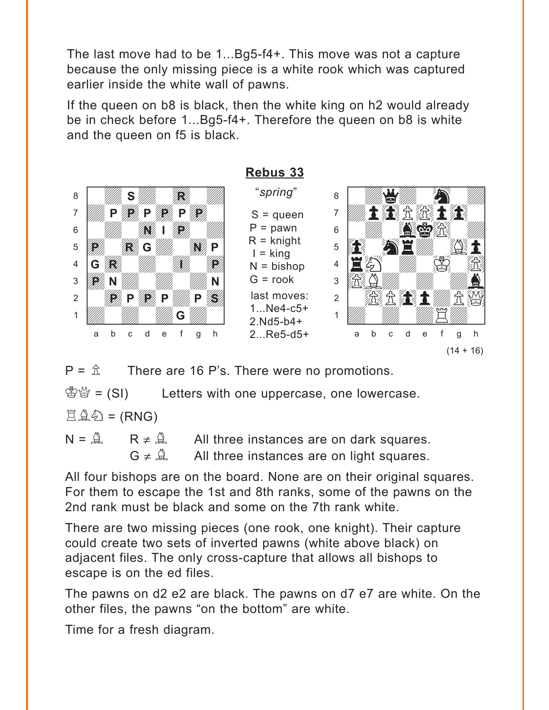<span id="page-26-0"></span>The last move had to be 1...Bg5-f4+. This move was not a capture because the only missing piece is a white rook which was captured earlier inside the white wall of pawns.

If the queen on b8 is black, then the white king on h2 would already be in check before 1...Bg5-f4+. Therefore the queen on b8 is white and the queen on f5 is black.



 $P = \hat{\mathbb{Z}}$  There are 16 P's. There were no promotions.

 $\mathbb{S}^{\omega}$  = (SI) Letters with one uppercase, one lowercase.

 $E \triangleq \epsilon$  = (RNG)

 $N = \mathbb{R}$   $\lt R \neq \mathbb{R}$  All three instances are on dark squares.  $G \neq \mathbb{Q}$  All three instances are on light squares.

All four bishops are on the board. None are on their original squares. For them to escape the 1st and 8th ranks, some of the pawns on the 2nd rank must be black and some on the 7th rank white.

There are two missing pieces (one rook, one knight). Their capture could create two sets of inverted pawns (white above black) on adjacent files. The only cross-capture that allows all bishops to escape is on the ed files.

The pawns on d2 e2 are black. The pawns on d7 e7 are white. On the other files, the pawns "on the bottom" are white.

Time for a fresh diagram.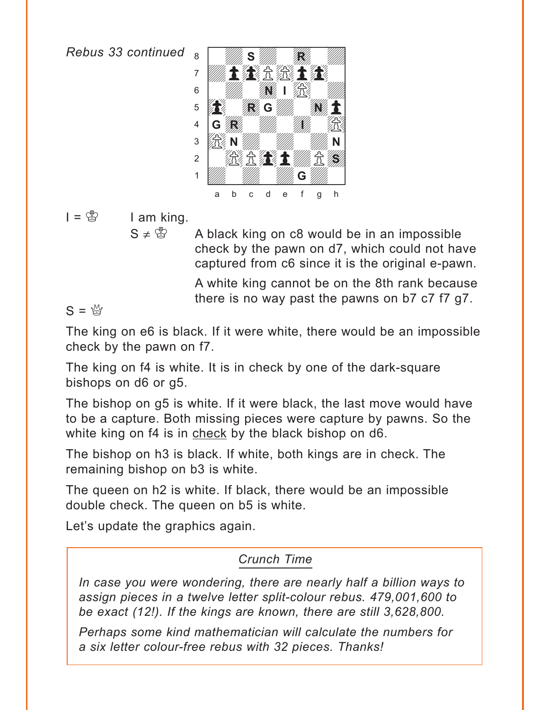*Rebus 33 continued*



 $I = \circledS$  I am king.

 $S \neq \mathbb{S}$  A black king on c8 would be in an impossible check by the pawn on d7, which could not have captured from c6 since it is the original e-pawn.

> A white king cannot be on the 8th rank because there is no way past the pawns on b7 c7 f7 g7.

 $S = \frac{M}{N}$ 

The king on e6 is black. If it were white, there would be an impossible check by the pawn on f7.

The king on f4 is white. It is in check by one of the dark-square bishops on d6 or g5.

The bishop on g5 is white. If it were black, the last move would have to be a capture. Both missing pieces were capture by pawns. So the white king on f4 is in check by the black bishop on d6.

The bishop on h3 is black. If white, both kings are in check. The remaining bishop on b3 is white.

The queen on h2 is white. If black, there would be an impossible double check. The queen on b5 is white.

Let's update the graphics again.

# *Crunch Time*

*In case you were wondering, there are nearly half a billion ways to assign pieces in a twelve letter split-colour rebus. 479,001,600 to be exact (12!). If the kings are known, there are still 3,628,800.*

*Perhaps some kind mathematician will calculate the numbers for a six letter colour-free rebus with 32 pieces. Thanks!*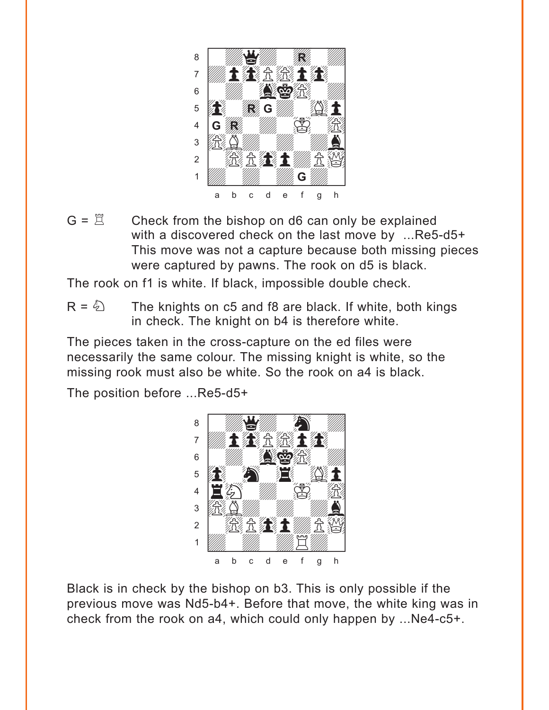

 $G = \mathbb{Z}$  Check from the bishop on d6 can only be explained with a discovered check on the last move by ...Re5-d5+ This move was not a capture because both missing pieces were captured by pawns. The rook on d5 is black.

The rook on f1 is white. If black, impossible double check.

 $R = \hat{Q}$  The knights on c5 and f8 are black. If white, both kings in check. The knight on b4 is therefore white.

The pieces taken in the cross-capture on the ed files were necessarily the same colour. The missing knight is white, so the missing rook must also be white. So the rook on a4 is black.

The position before ...Re5-d5+



Black is in check by the bishop on b3. This is only possible if the previous move was Nd5-b4+. Before that move, the white king was in check from the rook on a4, which could only happen by ...Ne4-c5+.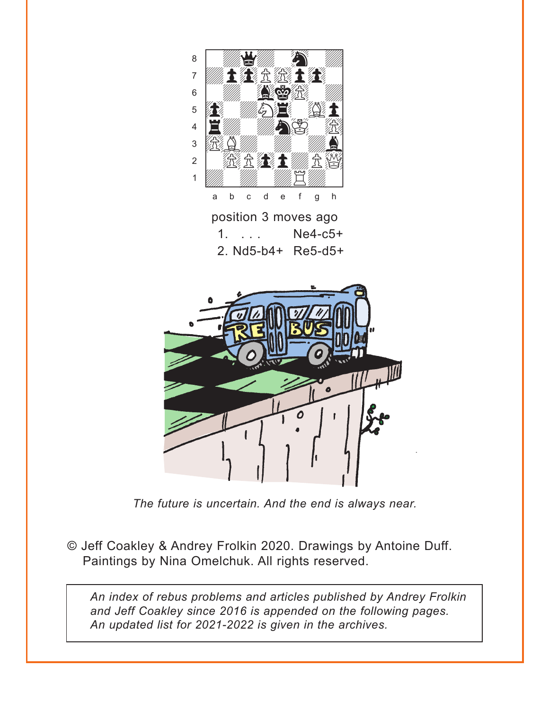

*The future is uncertain. And the end is always near.*

© Jeff Coakley & Andrey Frolkin 2020. Drawings by Antoine Duff. Paintings by Nina Omelchuk. All rights reserved.

*An index of rebus problems and articles published by Andrey Frolkin and Jeff Coakley since 2016 is appended on the following pages. An updated list for 2021-2022 is given in the archives.*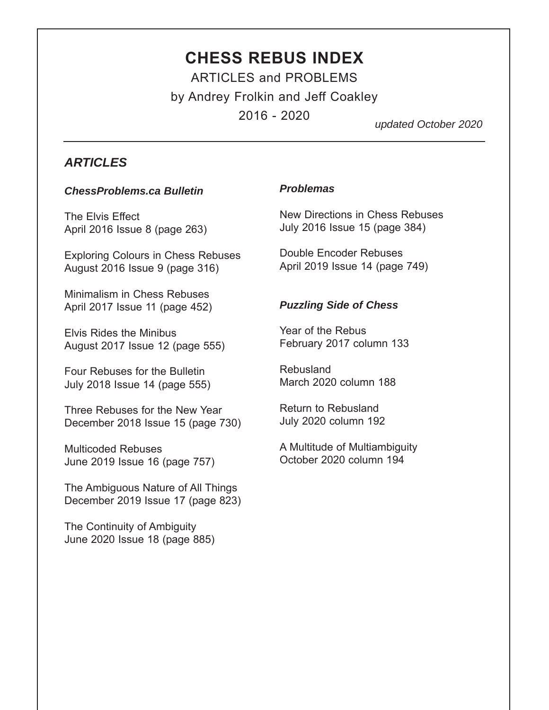# **CHESS REBUS INDEX** ARTICLES and PROBLEMS

by Andrey Frolkin and Jeff Coakley 2016 - 2020

*updated October 2020*

### *ARTICLES*

#### *ChessProblems.ca Bulletin*

The Elvis Effect April 2016 Issue 8 (page 263)

Exploring Colours in Chess Rebuses August 2016 Issue 9 (page 316)

Minimalism in Chess Rebuses April 2017 Issue 11 (page 452)

Elvis Rides the Minibus August 2017 Issue 12 (page 555)

Four Rebuses for the Bulletin July 2018 Issue 14 (page 555)

Three Rebuses for the New Year December 2018 Issue 15 (page 730)

Multicoded Rebuses June 2019 Issue 16 (page 757)

The Ambiguous Nature of All Things December 2019 Issue 17 (page 823)

The Continuity of Ambiguity June 2020 Issue 18 (page 885)

#### *Problemas*

New Directions in Chess Rebuses July 2016 Issue 15 (page 384)

Double Encoder Rebuses April 2019 Issue 14 (page 749)

#### *Puzzling Side of Chess*

Year of the Rebus February 2017 column 133

Rebusland March 2020 column 188

Return to Rebusland July 2020 column 192

A Multitude of Multiambiguity October 2020 column 194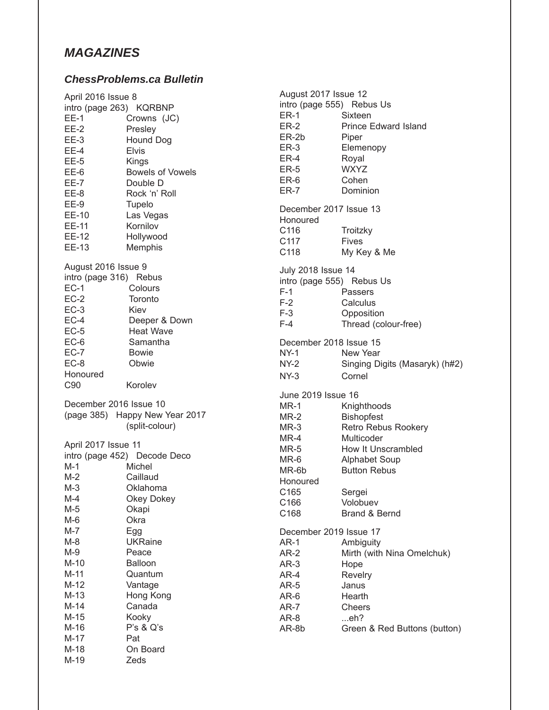## *MAGAZINES*

#### *ChessProblems.ca Bulletin*

|                                               |                                | August 2017 Issue 12      |                                |
|-----------------------------------------------|--------------------------------|---------------------------|--------------------------------|
| April 2016 Issue 8<br>intro (page 263) KQRBNP |                                | intro (page 555) Rebus Us |                                |
| $EE-1$                                        | Crowns (JC)                    | $ER-1$                    | Sixteen                        |
| $EE-2$                                        | Presley                        | $ER-2$                    | <b>Prince Edward Island</b>    |
| $EE-3$                                        | Hound Dog                      | ER-2b                     | Piper                          |
| $EE-4$                                        | <b>Elvis</b>                   | $ER-3$                    | Elemenopy                      |
|                                               |                                | ER-4                      | Royal                          |
| $EE-5$                                        | Kings                          | $ER-5$                    | <b>WXYZ</b>                    |
| EE-6                                          | <b>Bowels of Vowels</b>        | ER-6                      | Cohen                          |
| $EE-7$                                        | Double D                       | ER-7                      | Dominion                       |
| EE-8                                          | Rock 'n' Roll                  |                           |                                |
| $EE-9$                                        | Tupelo                         | December 2017 Issue 13    |                                |
| EE-10                                         | Las Vegas                      | Honoured                  |                                |
| EE-11                                         | Kornilov                       | C116                      | Troitzky                       |
| EE-12                                         | Hollywood                      | C117                      | <b>Fives</b>                   |
| EE-13                                         | Memphis                        | C118                      | My Key & Me                    |
| August 2016 Issue 9                           |                                |                           |                                |
| intro (page 316) Rebus                        |                                | <b>July 2018 Issue 14</b> |                                |
| $EC-1$                                        | Colours                        |                           | intro (page 555) Rebus Us      |
| $EC-2$                                        | Toronto                        | $F-1$                     | Passers                        |
|                                               |                                | $F-2$                     | Calculus                       |
| $EC-3$                                        | Kiev                           | $F-3$                     | Opposition                     |
| $EC-4$                                        | Deeper & Down                  | $F-4$                     | Thread (colour-free)           |
| $EC-5$                                        | <b>Heat Wave</b>               |                           |                                |
| $EC-6$                                        | Samantha                       | December 2018 Issue 15    |                                |
| $EC-7$                                        | <b>Bowie</b>                   | $NY-1$                    | New Year                       |
| $EC-8$                                        | Obwie                          | NY-2                      | Singing Digits (Masaryk) (h#2) |
| Honoured                                      |                                | $NY-3$                    | Cornel                         |
| C90                                           | Korolev                        | June 2019 Issue 16        |                                |
| December 2016 Issue 10                        |                                | $MR-1$                    |                                |
|                                               | (page 385) Happy New Year 2017 |                           | Knighthoods                    |
|                                               | (split-colour)                 | $MR-2$                    | <b>Bishopfest</b>              |
|                                               |                                | $MR-3$                    | Retro Rebus Rookery            |
| April 2017 Issue 11                           |                                | $MR-4$                    | Multicoder                     |
|                                               | intro (page 452) Decode Deco   | $MR-5$                    | How It Unscrambled             |
| $M-1$                                         | Michel                         | MR-6                      | <b>Alphabet Soup</b>           |
| $M-2$                                         | Caillaud                       | MR-6b                     | <b>Button Rebus</b>            |
| $M-3$                                         | Oklahoma                       | Honoured                  |                                |
| M-4                                           | Okey Dokey                     | C <sub>165</sub>          | Sergei                         |
| $M-5$                                         | Okapi                          | C166                      | Volobuev                       |
| M-6                                           | Okra                           | C168                      | Brand & Bernd                  |
| $M-7$                                         | Egg                            | December 2019 Issue 17    |                                |
| $M-8$                                         | <b>UKRaine</b>                 |                           |                                |
| $M-9$                                         |                                | $AR-1$                    | Ambiguity                      |
|                                               | Peace                          | $AR-2$                    | Mirth (with Nina Omelchuk)     |
| $M-10$                                        | Balloon                        | $AR-3$                    | Hope                           |
| $M-11$                                        | Quantum                        | AR-4                      | Revelry                        |
| $M-12$                                        | Vantage                        | $AR-5$                    | Janus                          |
| $M-13$                                        | Hong Kong                      | $AR-6$                    | Hearth                         |
| $M-14$                                        | Canada                         | AR-7                      | Cheers                         |
| $M-15$                                        | Kooky                          | AR-8                      | eh?                            |
| $M-16$                                        | P's & Q's                      | AR-8b                     | Green & Red Buttons (button)   |
| $M-17$                                        | Pat                            |                           |                                |
| $M-18$                                        | On Board                       |                           |                                |
| M-19                                          | Zeds                           |                           |                                |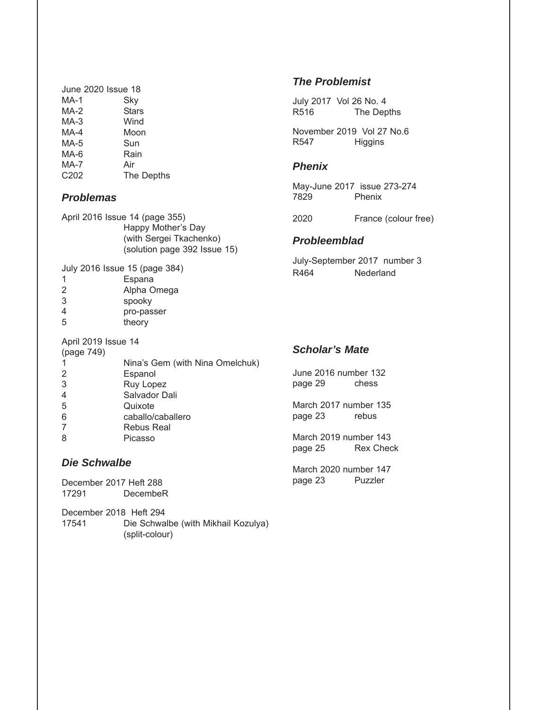| June 2020 Issue 18 |
|--------------------|
| Sky                |
| <b>Stars</b>       |
| Wind               |
| Moon               |
| Sun                |
| Rain               |
| Air                |
| The Depths         |
|                    |

#### *Problemas*

|                     | April 2016 Issue 14 (page 355)<br>Happy Mother's Day<br>(with Sergei Tkachenko)<br>(solution page 392 Issue 15) |
|---------------------|-----------------------------------------------------------------------------------------------------------------|
|                     | July 2016 Issue 15 (page 384)                                                                                   |
| 1                   | Espana                                                                                                          |
| 2                   | Alpha Omega                                                                                                     |
| 3                   | spooky                                                                                                          |
| 4                   | pro-passer                                                                                                      |
| 5                   | theory                                                                                                          |
| April 2019 Issue 14 |                                                                                                                 |
| (page 749)          |                                                                                                                 |
| 1                   | Nina's Gem (with Nina Omelchuk)                                                                                 |
| 2                   | Espanol                                                                                                         |

- 3 Ruy Lopez 4 Salvador Dali<br>5 Quixote
- **Quixote** 6 caballo/caballero
- 7 Rebus Real
- 8 Picasso

#### *Die Schwalbe*

December 2017 Heft 288 DecembeR

December 2018 Heft 294 Die Schwalbe (with Mikhail Kozulya) (split-colour)

#### *The Problemist*

July 2017 Vol 26 No. 4 R516 The Depths

November 2019 Vol 27 No.6 R547 Higgins

#### *Phenix*

May-June 2017 issue 273-274 7829 Phenix

2020 France (colour free)

#### *Probleemblad*

July-September 2017 number 3 R464 Nederland

### *Scholar's Mate*

June 2016 number 132 page 29 chess

March 2017 number 135<br>page 23 rebus page 23

March 2019 number 143<br>page 25 Rex Chec Rex Check

March 2020 number 147 page 23 Puzzler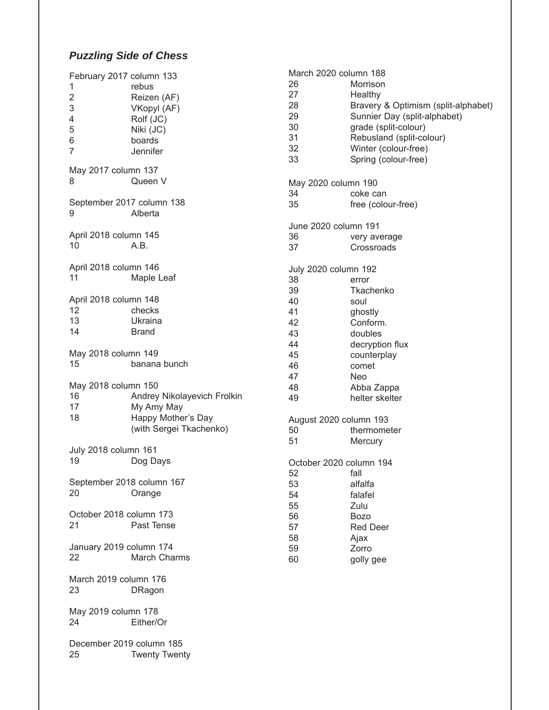# *Puzzling Side of Chess*

| February 2017 column 133<br>1<br>$\overline{c}$<br>3<br>4<br>5<br>6<br>7 | rebus<br>Reizen (AF)<br>VKopyl (AF)<br>Rolf (JC)<br>Niki (JC)<br>boards<br>Jennifer        |
|--------------------------------------------------------------------------|--------------------------------------------------------------------------------------------|
| May 2017 column 137<br>8                                                 | Queen V                                                                                    |
| September 2017 column 138<br>9                                           | Alberta                                                                                    |
| April 2018 column 145<br>10                                              | A.B.                                                                                       |
| April 2018 column 146<br>11                                              | Maple Leaf                                                                                 |
| April 2018 column 148<br>12<br>13<br>14                                  | checks<br>Ukraina<br><b>Brand</b>                                                          |
| May 2018 column 149<br>15                                                | banana bunch                                                                               |
| May 2018 column 150<br>16<br>17<br>18                                    | Andrey Nikolayevich Frolkin<br>My Amy May<br>Happy Mother's Day<br>(with Sergei Tkachenko) |
| July 2018 column 161<br>19                                               | Dog Days                                                                                   |
| September 2018 column 167<br>20                                          | Orange                                                                                     |
| October 2018 column 173<br>21                                            | Past Tense                                                                                 |
| January 2019 column 174<br>22                                            | March Charms                                                                               |
| March 2019 column 176<br>23                                              | DRagon                                                                                     |
| May 2019 column 178<br>24                                                | Either/Or                                                                                  |
| December 2019 column 185<br>25                                           | <b>Twenty Twenty</b>                                                                       |

| March 2020 column 188   |                                     |
|-------------------------|-------------------------------------|
| 26                      | Morrison                            |
| 27                      | Healthy                             |
| 28                      | Bravery & Optimism (split-alphabet) |
| 29                      | Sunnier Day (split-alphabet)        |
| 30                      | grade (split-colour)                |
| 31                      | Rebusland (split-colour)            |
| 32                      | Winter (colour-free)                |
| 33                      | Spring (colour-free)                |
| May 2020 column 190     |                                     |
| 34                      | coke can                            |
| 35                      | free (colour-free)                  |
| June 2020 column 191    |                                     |
| 36                      | very average                        |
| 37                      | Crossroads                          |
| July 2020 column 192    |                                     |
| 38                      | error                               |
| 39                      | Tkachenko                           |
| 40                      | soul                                |
| 41                      | ghostly                             |
| 42                      | Conform.                            |
| 43                      | doubles                             |
| 44                      | decryption flux                     |
| 45                      | counterplay                         |
| 46                      | comet                               |
| 47                      | Neo                                 |
| 48                      | Abba Zappa                          |
| 49                      | helter skelter                      |
| August 2020 column 193  |                                     |
| 50                      | thermometer                         |
| 51                      | Mercury                             |
| October 2020 column 194 |                                     |
| 52                      | fall                                |
| 53                      | alfalfa                             |
| 54                      | falafel                             |
| 55                      | Zulu                                |
| 56                      | <b>Bozo</b>                         |
| 57                      | <b>Red Deer</b>                     |
| 58                      | Ajax                                |
| 59                      | Zorro                               |
| 60                      | golly gee                           |
|                         |                                     |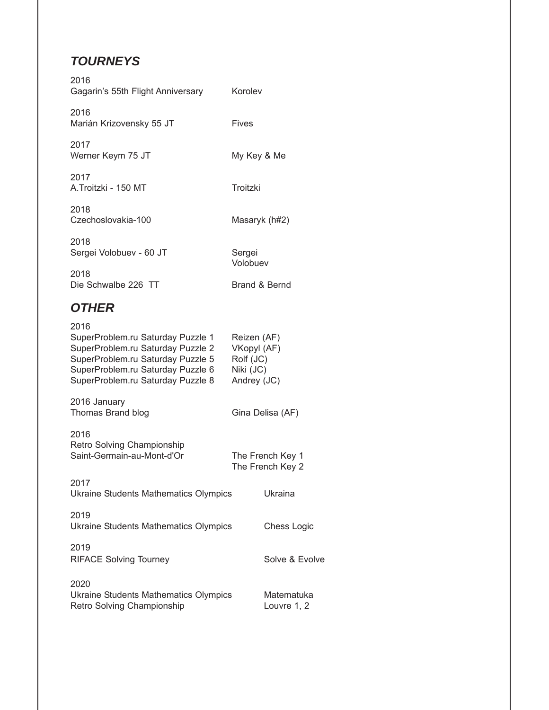# *TOURNEYS*

| 2016<br>Gagarin's 55th Flight Anniversary                                                                                                                                                     | Korolev                                                             |                                      |
|-----------------------------------------------------------------------------------------------------------------------------------------------------------------------------------------------|---------------------------------------------------------------------|--------------------------------------|
| 2016<br>Marián Krizovensky 55 JT                                                                                                                                                              | <b>Fives</b>                                                        |                                      |
| 2017<br>Werner Keym 75 JT                                                                                                                                                                     | My Key & Me                                                         |                                      |
| 2017<br>A.Troitzki - 150 MT                                                                                                                                                                   | Troitzki                                                            |                                      |
| 2018<br>Czechoslovakia-100                                                                                                                                                                    | Masaryk (h#2)                                                       |                                      |
| 2018<br>Sergei Volobuev - 60 JT                                                                                                                                                               | Sergei<br>Volobuev                                                  |                                      |
| 2018<br>Die Schwalbe 226 TT                                                                                                                                                                   | Brand & Bernd                                                       |                                      |
| <b>OTHER</b>                                                                                                                                                                                  |                                                                     |                                      |
| 2016<br>SuperProblem.ru Saturday Puzzle 1<br>SuperProblem.ru Saturday Puzzle 2<br>SuperProblem.ru Saturday Puzzle 5<br>SuperProblem.ru Saturday Puzzle 6<br>SuperProblem.ru Saturday Puzzle 8 | Reizen (AF)<br>VKopyl (AF)<br>Rolf (JC)<br>Niki (JC)<br>Andrey (JC) |                                      |
| 2016 January<br>Thomas Brand blog                                                                                                                                                             |                                                                     | Gina Delisa (AF)                     |
| 2016<br>Retro Solving Championship<br>Saint-Germain-au-Mont-d'Or                                                                                                                              |                                                                     | The French Key 1<br>The French Key 2 |
| 2017<br>Ukraine Students Mathematics Olympics                                                                                                                                                 |                                                                     | Ukraina                              |
| 2019<br>Ukraine Students Mathematics Olympics                                                                                                                                                 |                                                                     | Chess Logic                          |
| 2019<br><b>RIFACE Solving Tourney</b>                                                                                                                                                         |                                                                     | Solve & Evolve                       |
| 2020<br><b>Ukraine Students Mathematics Olympics</b><br>Retro Solving Championship                                                                                                            |                                                                     | Matematuka<br>Louvre 1, 2            |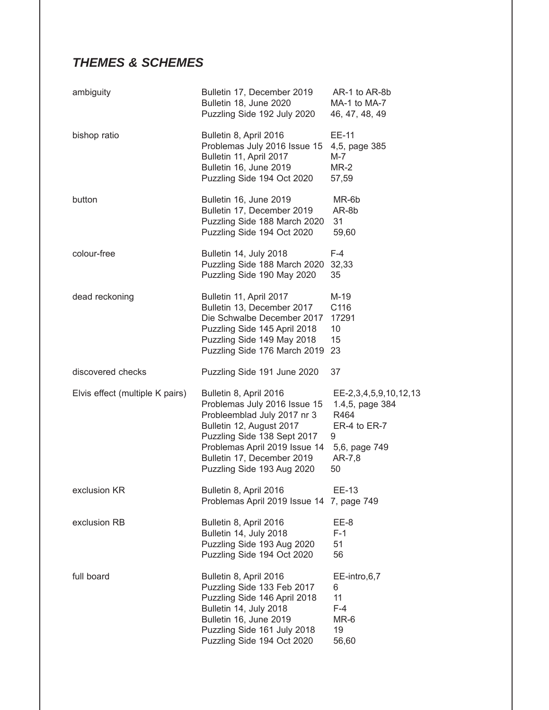# *THEMES & SCHEMES*

| ambiguity                       | Bulletin 17, December 2019<br>Bulletin 18, June 2020<br>Puzzling Side 192 July 2020                                                                                                                                                           | AR-1 to AR-8b<br>MA-1 to MA-7<br>46, 47, 48, 49                                                        |
|---------------------------------|-----------------------------------------------------------------------------------------------------------------------------------------------------------------------------------------------------------------------------------------------|--------------------------------------------------------------------------------------------------------|
| bishop ratio                    | Bulletin 8, April 2016<br>Problemas July 2016 Issue 15<br>Bulletin 11, April 2017<br>Bulletin 16, June 2019<br>Puzzling Side 194 Oct 2020                                                                                                     | EE-11<br>4,5, page 385<br>M-7<br>$MR-2$<br>57,59                                                       |
| button                          | Bulletin 16, June 2019<br>Bulletin 17, December 2019<br>Puzzling Side 188 March 2020<br>Puzzling Side 194 Oct 2020                                                                                                                            | MR-6b<br>AR-8b<br>31<br>59,60                                                                          |
| colour-free                     | Bulletin 14, July 2018<br>Puzzling Side 188 March 2020<br>Puzzling Side 190 May 2020                                                                                                                                                          | $F-4$<br>32,33<br>35                                                                                   |
| dead reckoning                  | Bulletin 11, April 2017<br>Bulletin 13, December 2017<br>Die Schwalbe December 2017<br>Puzzling Side 145 April 2018<br>Puzzling Side 149 May 2018<br>Puzzling Side 176 March 2019                                                             | M-19<br>C116<br>17291<br>10<br>15<br>23                                                                |
| discovered checks               | Puzzling Side 191 June 2020                                                                                                                                                                                                                   | 37                                                                                                     |
| Elvis effect (multiple K pairs) | Bulletin 8, April 2016<br>Problemas July 2016 Issue 15<br>Probleemblad July 2017 nr 3<br>Bulletin 12, August 2017<br>Puzzling Side 138 Sept 2017<br>Problemas April 2019 Issue 14<br>Bulletin 17, December 2019<br>Puzzling Side 193 Aug 2020 | EE-2,3,4,5,9,10,12,13<br>1.4,5, page 384<br>R464<br>ER-4 to ER-7<br>9<br>5,6, page 749<br>AR-7,8<br>50 |
| exclusion KR                    | Bulletin 8, April 2016<br>Problemas April 2019 Issue 14 7, page 749                                                                                                                                                                           | EE-13                                                                                                  |
| exclusion RB                    | Bulletin 8, April 2016<br>Bulletin 14, July 2018<br>Puzzling Side 193 Aug 2020<br>Puzzling Side 194 Oct 2020                                                                                                                                  | EE-8<br>$F-1$<br>51<br>56                                                                              |
| full board                      | Bulletin 8, April 2016<br>Puzzling Side 133 Feb 2017<br>Puzzling Side 146 April 2018<br>Bulletin 14, July 2018<br>Bulletin 16, June 2019<br>Puzzling Side 161 July 2018<br>Puzzling Side 194 Oct 2020                                         | EE-intro,6,7<br>6<br>11<br>$F-4$<br>MR-6<br>19<br>56,60                                                |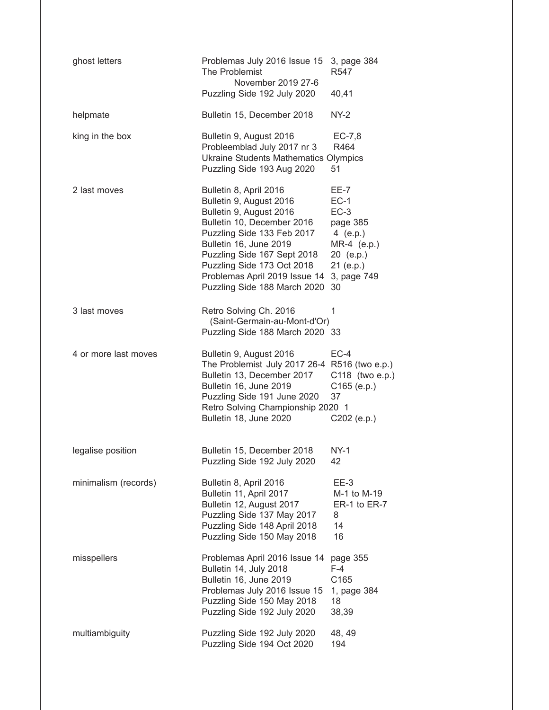| ghost letters        | Problemas July 2016 Issue 15<br>The Problemist<br>November 2019 27-6                                                                                                                                                                                                                             | 3, page 384<br>R <sub>547</sub>                                                                                         |
|----------------------|--------------------------------------------------------------------------------------------------------------------------------------------------------------------------------------------------------------------------------------------------------------------------------------------------|-------------------------------------------------------------------------------------------------------------------------|
|                      | Puzzling Side 192 July 2020                                                                                                                                                                                                                                                                      | 40,41                                                                                                                   |
| helpmate             | Bulletin 15, December 2018                                                                                                                                                                                                                                                                       | <b>NY-2</b>                                                                                                             |
| king in the box      | Bulletin 9, August 2016<br>Probleemblad July 2017 nr 3<br><b>Ukraine Students Mathematics Olympics</b><br>Puzzling Side 193 Aug 2020                                                                                                                                                             | $EC-7,8$<br>R464<br>51                                                                                                  |
| 2 last moves         | Bulletin 8, April 2016<br>Bulletin 9, August 2016<br>Bulletin 9, August 2016<br>Bulletin 10, December 2016<br>Puzzling Side 133 Feb 2017<br>Bulletin 16, June 2019<br>Puzzling Side 167 Sept 2018<br>Puzzling Side 173 Oct 2018<br>Problemas April 2019 Issue 14<br>Puzzling Side 188 March 2020 | <b>EE-7</b><br>$EC-1$<br>$EC-3$<br>page 385<br>4 $(e.p.)$<br>MR-4 (e.p.)<br>20 (e.p.)<br>21 (e.p.)<br>3, page 749<br>30 |
| 3 last moves         | Retro Solving Ch. 2016<br>(Saint-Germain-au-Mont-d'Or)<br>Puzzling Side 188 March 2020                                                                                                                                                                                                           | 1<br>33                                                                                                                 |
| 4 or more last moves | Bulletin 9, August 2016<br>The Problemist July 2017 26-4 R516 (two e.p.)<br>Bulletin 13, December 2017<br>Bulletin 16, June 2019<br>Puzzling Side 191 June 2020<br>Retro Solving Championship 2020 1<br>Bulletin 18, June 2020                                                                   | $EC-4$<br>C118 (two e.p.)<br>$C165$ (e.p.)<br>37<br>$C202$ (e.p.)                                                       |
| legalise position    | Bulletin 15, December 2018<br>Puzzling Side 192 July 2020                                                                                                                                                                                                                                        | $NY-1$<br>42                                                                                                            |
| minimalism (records) | Bulletin 8, April 2016<br>Bulletin 11, April 2017<br>Bulletin 12, August 2017<br>Puzzling Side 137 May 2017<br>Puzzling Side 148 April 2018<br>Puzzling Side 150 May 2018                                                                                                                        | $EE-3$<br>M-1 to M-19<br>ER-1 to ER-7<br>8<br>14<br>16                                                                  |
| misspellers          | Problemas April 2016 Issue 14<br>Bulletin 14, July 2018<br>Bulletin 16, June 2019<br>Problemas July 2016 Issue 15<br>Puzzling Side 150 May 2018<br>Puzzling Side 192 July 2020                                                                                                                   | page 355<br>$F-4$<br>C165<br>1, page 384<br>18<br>38,39                                                                 |
| multiambiguity       | Puzzling Side 192 July 2020<br>Puzzling Side 194 Oct 2020                                                                                                                                                                                                                                        | 48, 49<br>194                                                                                                           |